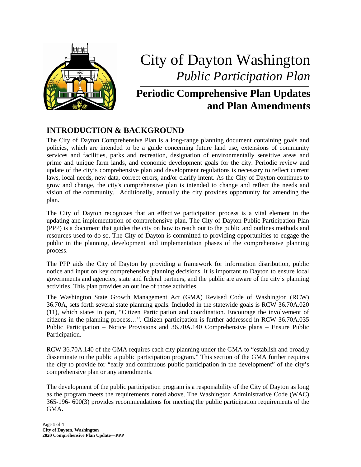

# City of Dayton Washington *Public Participation Plan*

# **Periodic Comprehensive Plan Updates and Plan Amendments**

# **INTRODUCTION & BACKGROUND**

The City of Dayton Comprehensive Plan is a long-range planning document containing goals and policies, which are intended to be a guide concerning future land use, extensions of community services and facilities, parks and recreation, designation of environmentally sensitive areas and prime and unique farm lands, and economic development goals for the city. Periodic review and update of the city's comprehensive plan and development regulations is necessary to reflect current laws, local needs, new data, correct errors, and/or clarify intent. As the City of Dayton continues to grow and change, the city's comprehensive plan is intended to change and reflect the needs and vision of the community. Additionally, annually the city provides opportunity for amending the plan.

The City of Dayton recognizes that an effective participation process is a vital element in the updating and implementation of comprehensive plan. The City of Dayton Public Participation Plan (PPP) is a document that guides the city on how to reach out to the public and outlines methods and resources used to do so. The City of Dayton is committed to providing opportunities to engage the public in the planning, development and implementation phases of the comprehensive planning process.

The PPP aids the City of Dayton by providing a framework for information distribution, public notice and input on key comprehensive planning decisions. It is important to Dayton to ensure local governments and agencies, state and federal partners, and the public are aware of the city's planning activities. This plan provides an outline of those activities.

The Washington State Growth Management Act (GMA) Revised Code of Washington (RCW) 36.70A, sets forth several state planning goals. Included in the statewide goals is RCW 36.70A.020 (11), which states in part, "Citizen Participation and coordination. Encourage the involvement of citizens in the planning process…". Citizen participation is further addressed in RCW 36.70A.035 Public Participation – Notice Provisions and 36.70A.140 Comprehensive plans – Ensure Public Participation.

RCW 36.70A.140 of the GMA requires each city planning under the GMA to "establish and broadly disseminate to the public a public participation program." This section of the GMA further requires the city to provide for "early and continuous public participation in the development" of the city's comprehensive plan or any amendments.

The development of the public participation program is a responsibility of the City of Dayton as long as the program meets the requirements noted above. The Washington Administrative Code (WAC) 365-196- 600(3) provides recommendations for meeting the public participation requirements of the GMA.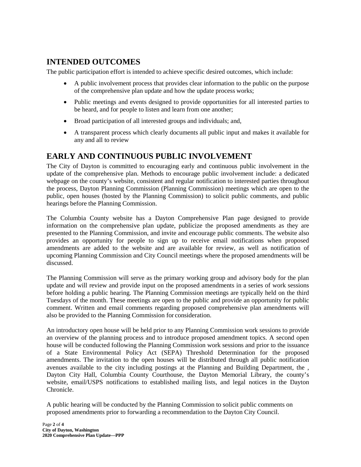### **INTENDED OUTCOMES**

The public participation effort is intended to achieve specific desired outcomes, which include:

- A public involvement process that provides clear information to the public on the purpose of the comprehensive plan update and how the update process works;
- Public meetings and events designed to provide opportunities for all interested parties to be heard, and for people to listen and learn from one another;
- Broad participation of all interested groups and individuals; and,
- A transparent process which clearly documents all public input and makes it available for any and all to review

#### **EARLY AND CONTINUOUS PUBLIC INVOLVEMENT**

The City of Dayton is committed to encouraging early and continuous public involvement in the update of the comprehensive plan. Methods to encourage public involvement include: a dedicated webpage on the county's website, consistent and regular notification to interested parties throughout the process, Dayton Planning Commission (Planning Commission) meetings which are open to the public, open houses (hosted by the Planning Commission) to solicit public comments, and public hearings before the Planning Commission.

The Columbia County website has a Dayton Comprehensive Plan page designed to provide information on the comprehensive plan update, publicize the proposed amendments as they are presented to the Planning Commission, and invite and encourage public comments. The website also provides an opportunity for people to sign up to receive email notifications when proposed amendments are added to the website and are available for review, as well as notification of upcoming Planning Commission and City Council meetings where the proposed amendments will be discussed.

The Planning Commission will serve as the primary working group and advisory body for the plan update and will review and provide input on the proposed amendments in a series of work sessions before holding a public hearing. The Planning Commission meetings are typically held on the third Tuesdays of the month. These meetings are open to the public and provide an opportunity for public comment. Written and email comments regarding proposed comprehensive plan amendments will also be provided to the Planning Commission for consideration.

An introductory open house will be held prior to any Planning Commission work sessions to provide an overview of the planning process and to introduce proposed amendment topics. A second open house will be conducted following the Planning Commission work sessions and prior to the issuance of a State Environmental Policy Act (SEPA) Threshold Determination for the proposed amendments. The invitation to the open houses will be distributed through all public notification avenues available to the city including postings at the Planning and Building Department, the , Dayton City Hall, Columbia County Courthouse, the Dayton Memorial Library, the county's website, email/USPS notifications to established mailing lists, and legal notices in the Dayton Chronicle.

A public hearing will be conducted by the Planning Commission to solicit public comments on proposed amendments prior to forwarding a recommendation to the Dayton City Council.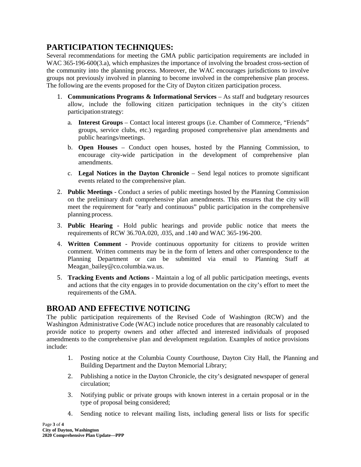# **PARTICIPATION TECHNIQUES:**

Several recommendations for meeting the GMA public participation requirements are included in WAC 365-196-600(3.a), which emphasizes the importance of involving the broadest cross-section of the community into the planning process. Moreover, the WAC encourages jurisdictions to involve groups not previously involved in planning to become involved in the comprehensive plan process. The following are the events proposed for the City of Dayton citizen participation process.

- 1. **Communications Programs & Informational Services**  As staff and budgetary resources allow, include the following citizen participation techniques in the city's citizen participationstrategy:
	- a. **Interest Groups**  Contact local interest groups (i.e. Chamber of Commerce, "Friends" groups, service clubs, etc.) regarding proposed comprehensive plan amendments and public hearings/meetings.
	- b. **Open Houses**  Conduct open houses, hosted by the Planning Commission, to encourage city-wide participation in the development of comprehensive plan amendments.
	- c. **Legal Notices in the Dayton Chronicle** Send legal notices to promote significant events related to the comprehensive plan.
- 2. **Public Meetings**  Conduct a series of public meetings hosted by the Planning Commission on the preliminary draft comprehensive plan amendments. This ensures that the city will meet the requirement for "early and continuous" public participation in the comprehensive planning process.
- 3. **Public Hearing** Hold public hearings and provide public notice that meets the requirements of RCW 36.70A.020, .035, and .140 and WAC 365-196-200.
- 4. **Written Comment**  Provide continuous opportunity for citizens to provide written comment. Written comments may be in the form of letters and other correspondence to the Planning Department or can be submitted via email to Planning Staff at Meagan\_bailey@co.columbia.wa.us.
- 5. **Tracking Events and Actions**  Maintain a log of all public participation meetings, events and actions that the city engages in to provide documentation on the city's effort to meet the requirements of the GMA.

# **BROAD AND EFFECTIVE NOTICING**

The public participation requirements of the Revised Code of Washington (RCW) and the Washington Administrative Code (WAC) include notice procedures that are reasonably calculated to provide notice to property owners and other affected and interested individuals of proposed amendments to the comprehensive plan and development regulation. Examples of notice provisions include:

- 1. Posting notice at the Columbia County Courthouse, Dayton City Hall, the Planning and Building Department and the Dayton Memorial Library;
- 2. Publishing a notice in the Dayton Chronicle, the city's designated newspaper of general circulation;
- 3. Notifying public or private groups with known interest in a certain proposal or in the type of proposal being considered;
- 4. Sending notice to relevant mailing lists, including general lists or lists for specific